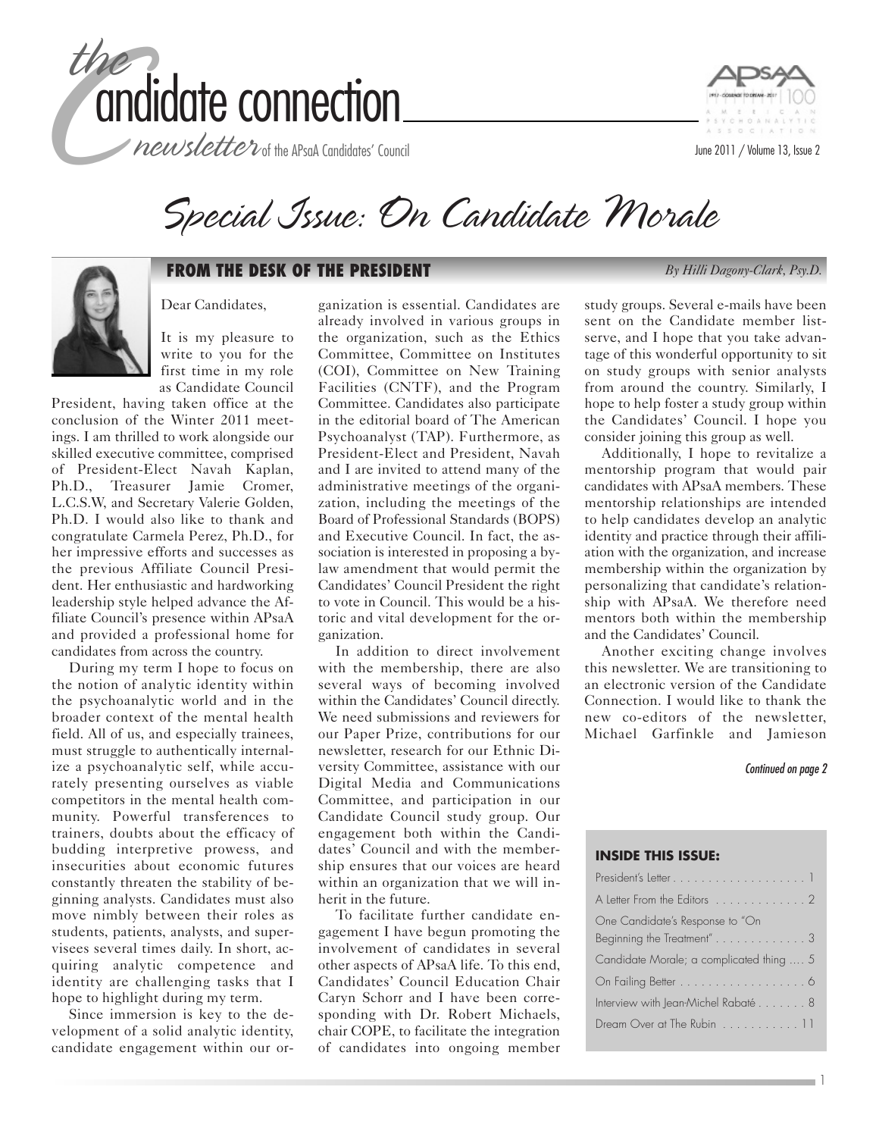

newsletter of the APsaA Candidates' Council





### **FROM THE DESK OF THE PRESIDENT** *By Hilli Dagony-Clark, Psy.D.*

Dear Candidates,

It is my pleasure to write to you for the first time in my role as Candidate Council

President, having taken office at the conclusion of the Winter 2011 meetings. I am thrilled to work alongside our skilled executive committee, comprised of President-Elect Navah Kaplan, Ph.D., Treasurer Jamie Cromer, L.C.S.W, and Secretary Valerie Golden, Ph.D. I would also like to thank and congratulate Carmela Perez, Ph.D., for her impressive efforts and successes as the previous Affiliate Council President. Her enthusiastic and hardworking leadership style helped advance the Affiliate Council's presence within APsaA and provided a professional home for candidates from across the country.

During my term I hope to focus on the notion of analytic identity within the psychoanalytic world and in the broader context of the mental health field. All of us, and especially trainees, must struggle to authentically internalize a psychoanalytic self, while accurately presenting ourselves as viable competitors in the mental health community. Powerful transferences to trainers, doubts about the efficacy of budding interpretive prowess, and insecurities about economic futures constantly threaten the stability of beginning analysts. Candidates must also move nimbly between their roles as students, patients, analysts, and supervisees several times daily. In short, acquiring analytic competence and identity are challenging tasks that I hope to highlight during my term.

Since immersion is key to the development of a solid analytic identity, candidate engagement within our or-

ganization is essential. Candidates are already involved in various groups in the organization, such as the Ethics Committee, Committee on Institutes (COI), Committee on New Training Facilities (CNTF), and the Program Committee. Candidates also participate in the editorial board of The American Psychoanalyst (TAP). Furthermore, as President-Elect and President, Navah and I are invited to attend many of the administrative meetings of the organization, including the meetings of the Board of Professional Standards (BOPS) and Executive Council. In fact, the association is interested in proposing a bylaw amendment that would permit the Candidates' Council President the right to vote in Council. This would be a historic and vital development for the organization.

In addition to direct involvement with the membership, there are also several ways of becoming involved within the Candidates' Council directly. We need submissions and reviewers for our Paper Prize, contributions for our newsletter, research for our Ethnic Diversity Committee, assistance with our Digital Media and Communications Committee, and participation in our Candidate Council study group. Our engagement both within the Candidates' Council and with the membership ensures that our voices are heard within an organization that we will inherit in the future.

To facilitate further candidate engagement I have begun promoting the involvement of candidates in several other aspects of APsaA life. To this end, Candidates' Council Education Chair Caryn Schorr and I have been corresponding with Dr. Robert Michaels, chair COPE, to facilitate the integration of candidates into ongoing member

study groups. Several e-mails have been sent on the Candidate member listserve, and I hope that you take advantage of this wonderful opportunity to sit on study groups with senior analysts from around the country. Similarly, I hope to help foster a study group within the Candidates' Council. I hope you

consider joining this group as well. Additionally, I hope to revitalize a mentorship program that would pair candidates with APsaA members. These mentorship relationships are intended to help candidates develop an analytic identity and practice through their affiliation with the organization, and increase membership within the organization by personalizing that candidate's relationship with APsaA. We therefore need mentors both within the membership and the Candidates' Council.

Another exciting change involves this newsletter. We are transitioning to an electronic version of the Candidate Connection. I would like to thank the new co-editors of the newsletter, Michael Garfinkle and Jamieson

Continued on page 2

1

#### **INSIDE THIS ISSUE:**

| A Letter From the Editors 2              |
|------------------------------------------|
| One Candidate's Response to "On          |
| Beginning the Treatment"3                |
| Candidate Morale; a complicated thing  5 |
| On Failing Better 6                      |
| Interview with Jean-Michel Rabaté 8      |
| Dream Over at The Rubin 11               |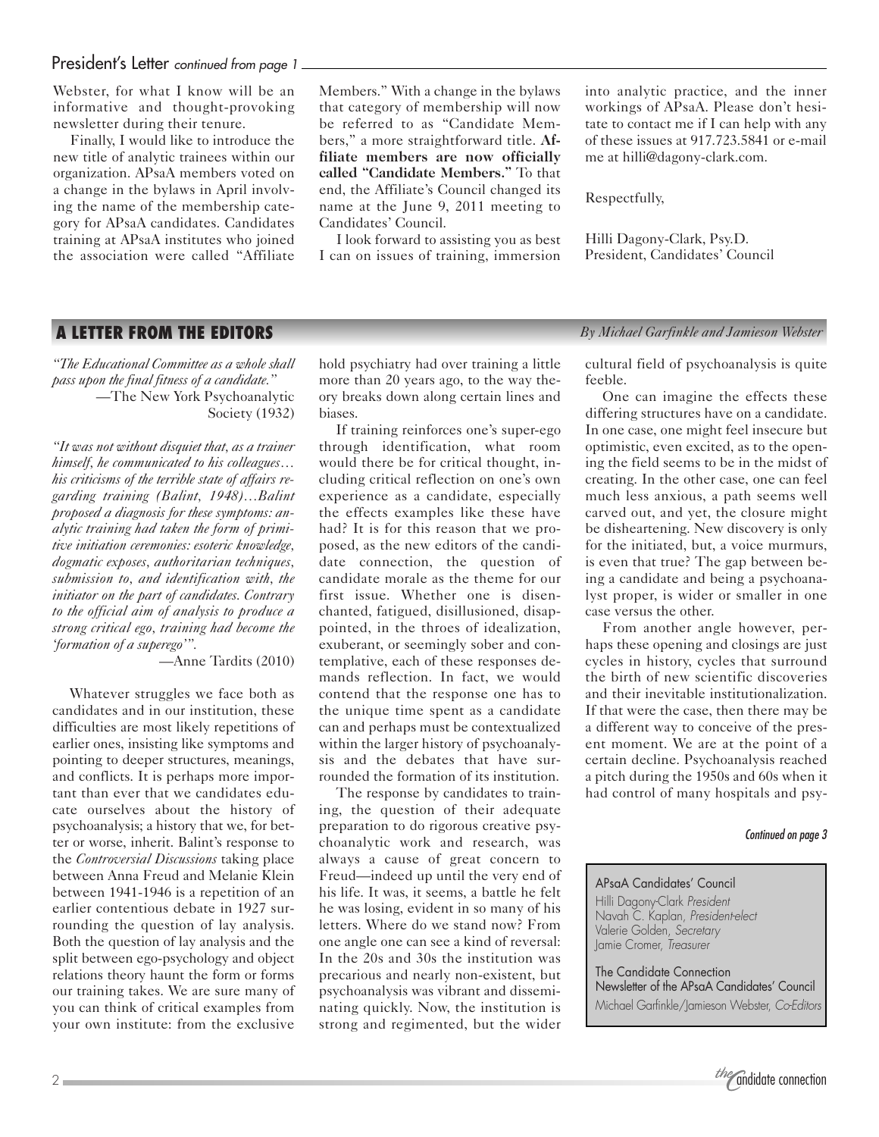### President's Letter continued from page 1

Webster, for what I know will be an informative and thought-provoking newsletter during their tenure.

Finally, I would like to introduce the new title of analytic trainees within our organization. APsaA members voted on a change in the bylaws in April involving the name of the membership category for APsaA candidates. Candidates training at APsaA institutes who joined the association were called "Affiliate Members." With a change in the bylaws that category of membership will now be referred to as "Candidate Members," a more straightforward title. **Affiliate members are now officially called "Candidate Members."** To that end, the Affiliate's Council changed its name at the June 9, 2011 meeting to Candidates' Council.

I look forward to assisting you as best I can on issues of training, immersion into analytic practice, and the inner workings of APsaA. Please don't hesitate to contact me if I can help with any of these issues at 917.723.5841 or e-mail me at hilli@dagony-clark.com.

#### Respectfully,

Hilli Dagony-Clark, Psy.D. President, Candidates' Council

*"The Educational Committee as a whole shall pass upon the final fitness of a candidate."* —The New York Psychoanalytic Society (1932)

*"It was not without disquiet that, as a trainer himself, he communicated to his colleagues… his criticisms of the terrible state of affairs regarding training (Balint, 1948)…Balint proposed a diagnosis for these symptoms: analytic training had taken the form of primitive initiation ceremonies: esoteric knowledge, dogmatic exposes, authoritarian techniques, submission to, and identification with, the initiator on the part of candidates. Contrary to the official aim of analysis to produce a strong critical ego, training had become the 'formation of a superego'".*

—Anne Tardits (2010)

Whatever struggles we face both as candidates and in our institution, these difficulties are most likely repetitions of earlier ones, insisting like symptoms and pointing to deeper structures, meanings, and conflicts. It is perhaps more important than ever that we candidates educate ourselves about the history of psychoanalysis; a history that we, for better or worse, inherit. Balint's response to the *Controversial Discussions* taking place between Anna Freud and Melanie Klein between 1941-1946 is a repetition of an earlier contentious debate in 1927 surrounding the question of lay analysis. Both the question of lay analysis and the split between ego-psychology and object relations theory haunt the form or forms our training takes. We are sure many of you can think of critical examples from your own institute: from the exclusive

hold psychiatry had over training a little more than 20 years ago, to the way theory breaks down along certain lines and biases.

If training reinforces one's super-ego through identification, what room would there be for critical thought, including critical reflection on one's own experience as a candidate, especially the effects examples like these have had? It is for this reason that we proposed, as the new editors of the candidate connection, the question of candidate morale as the theme for our first issue. Whether one is disenchanted, fatigued, disillusioned, disappointed, in the throes of idealization, exuberant, or seemingly sober and contemplative, each of these responses demands reflection. In fact, we would contend that the response one has to the unique time spent as a candidate can and perhaps must be contextualized within the larger history of psychoanalysis and the debates that have surrounded the formation of its institution.

The response by candidates to training, the question of their adequate preparation to do rigorous creative psychoanalytic work and research, was always a cause of great concern to Freud—indeed up until the very end of his life. It was, it seems, a battle he felt he was losing, evident in so many of his letters. Where do we stand now? From one angle one can see a kind of reversal: In the 20s and 30s the institution was precarious and nearly non-existent, but psychoanalysis was vibrant and disseminating quickly. Now, the institution is strong and regimented, but the wider

**A LETTER FROM THE EDITORS** *By Michael Garfinkle and Jamieson Webster*

cultural field of psychoanalysis is quite feeble.

One can imagine the effects these differing structures have on a candidate. In one case, one might feel insecure but optimistic, even excited, as to the opening the field seems to be in the midst of creating. In the other case, one can feel much less anxious, a path seems well carved out, and yet, the closure might be disheartening. New discovery is only for the initiated, but, a voice murmurs, is even that true? The gap between being a candidate and being a psychoanalyst proper, is wider or smaller in one case versus the other.

From another angle however, perhaps these opening and closings are just cycles in history, cycles that surround the birth of new scientific discoveries and their inevitable institutionalization. If that were the case, then there may be a different way to conceive of the present moment. We are at the point of a certain decline. Psychoanalysis reached a pitch during the 1950s and 60s when it had control of many hospitals and psy-

#### Continued on page 3

#### APsaA Candidates' Council

Hilli Dagony-Clark President Navah C. Kaplan, President-elect Valerie Golden, Secretary Jamie Cromer, Treasurer

The Candidate Connection Newsletter of the APsaA Candidates' Council Michael Garfinkle/Jamieson Webster, Co-Editors

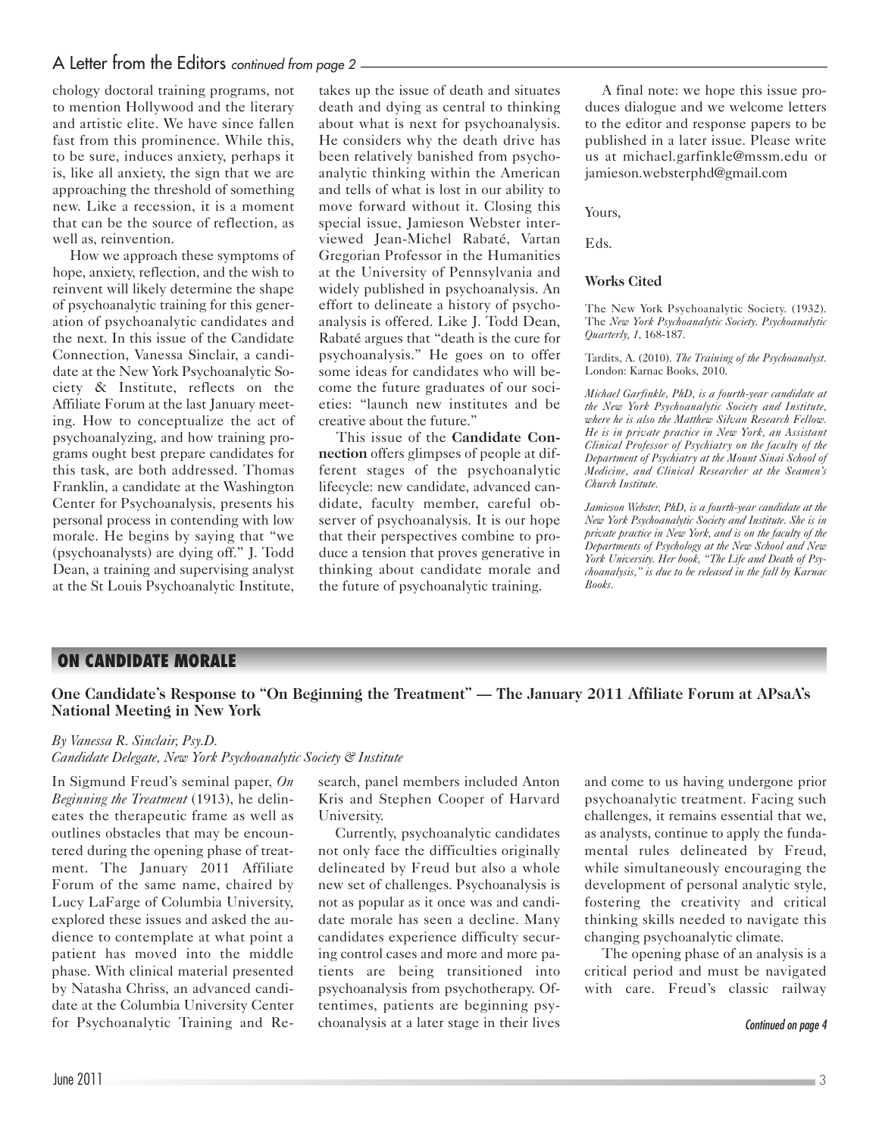chology doctoral training programs, not to mention Hollywood and the literary and artistic elite. We have since fallen fast from this prominence. While this, to be sure, induces anxiety, perhaps it is, like all anxiety, the sign that we are approaching the threshold of something new. Like a recession, it is a moment that can be the source of reflection, as well as, reinvention.

How we approach these symptoms of hope, anxiety, reflection, and the wish to reinvent will likely determine the shape of psychoanalytic training for this generation of psychoanalytic candidates and the next. In this issue of the Candidate Connection, Vanessa Sinclair, a candidate at the New York Psychoanalytic Society & Institute, reflects on the Affiliate Forum at the last January meeting. How to conceptualize the act of psychoanalyzing, and how training programs ought best prepare candidates for this task, are both addressed. Thomas Franklin, a candidate at the Washington Center for Psychoanalysis, presents his personal process in contending with low morale. He begins by saying that "we (psychoanalysts) are dying off." J. Todd Dean, a training and supervising analyst at the St Louis Psychoanalytic Institute,

takes up the issue of death and situates death and dying as central to thinking about what is next for psychoanalysis. He considers why the death drive has been relatively banished from psychoanalytic thinking within the American and tells of what is lost in our ability to move forward without it. Closing this special issue, Jamieson Webster interviewed Jean-Michel Rabaté, Vartan Gregorian Professor in the Humanities at the University of Pennsylvania and widely published in psychoanalysis. An effort to delineate a history of psychoanalysis is offered. Like J. Todd Dean, Rabaté argues that "death is the cure for psychoanalysis." He goes on to offer some ideas for candidates who will become the future graduates of our societies: "launch new institutes and be creative about the future."

This issue of the **Candidate Connection** offers glimpses of people at different stages of the psychoanalytic lifecycle: new candidate, advanced candidate, faculty member, careful observer of psychoanalysis. It is our hope that their perspectives combine to produce a tension that proves generative in thinking about candidate morale and the future of psychoanalytic training.

A final note: we hope this issue produces dialogue and we welcome letters to the editor and response papers to be published in a later issue. Please write us at michael.garfinkle@mssm.edu or jamieson.websterphd@gmail.com

Yours,

Eds.

#### **Works Cited**

The New York Psychoanalytic Society. (1932). The *New York Psychoanalytic Society. Psychoanalytic Quarterly, 1,* 168-187.

Tardits, A. (2010). *The Training of the Psychoanalyst.* London: Karnac Books, 2010.

*Michael Garfinkle, PhD, is a fourth-year candidate at the New York Psychoanalytic Society and Institute, where he is also the Matthew Silvan Research Fellow. He is in private practice in New York, an Assistant Clinical Professor of Psychiatry on the faculty of the Department of Psychiatry at the Mount Sinai School of Medicine, and Clinical Researcher at the Seamen's Church Institute.*

*Jamieson Webster, PhD, is a fourth-year candidate at the New York Psychoanalytic Society and Institute. She is in private practice in New York, and is on the faculty of the Departments of Psychology at the New School and New York University. Her book, "The Life and Death of Psychoanalysis," is due to be released in the fall by Karnac Books.* 

## **ON CANDIDATE MORALE**

### **One Candidate's Response to "On Beginning the Treatment" — The January 2011 Affiliate Forum at APsaA's National Meeting in New York**

*By Vanessa R. Sinclair, Psy.D.*

*Candidate Delegate, New York Psychoanalytic Society & Institute*

In Sigmund Freud's seminal paper, *On Beginning the Treatment* (1913), he delineates the therapeutic frame as well as outlines obstacles that may be encountered during the opening phase of treatment. The January 2011 Affiliate Forum of the same name, chaired by Lucy LaFarge of Columbia University, explored these issues and asked the audience to contemplate at what point a patient has moved into the middle phase. With clinical material presented by Natasha Chriss, an advanced candidate at the Columbia University Center for Psychoanalytic Training and Research, panel members included Anton Kris and Stephen Cooper of Harvard University.

Currently, psychoanalytic candidates not only face the difficulties originally delineated by Freud but also a whole new set of challenges. Psychoanalysis is not as popular as it once was and candidate morale has seen a decline. Many candidates experience difficulty securing control cases and more and more patients are being transitioned into psychoanalysis from psychotherapy. Oftentimes, patients are beginning psychoanalysis at a later stage in their lives and come to us having undergone prior psychoanalytic treatment. Facing such challenges, it remains essential that we, as analysts, continue to apply the fundamental rules delineated by Freud, while simultaneously encouraging the development of personal analytic style, fostering the creativity and critical thinking skills needed to navigate this changing psychoanalytic climate.

The opening phase of an analysis is a critical period and must be navigated with care. Freud's classic railway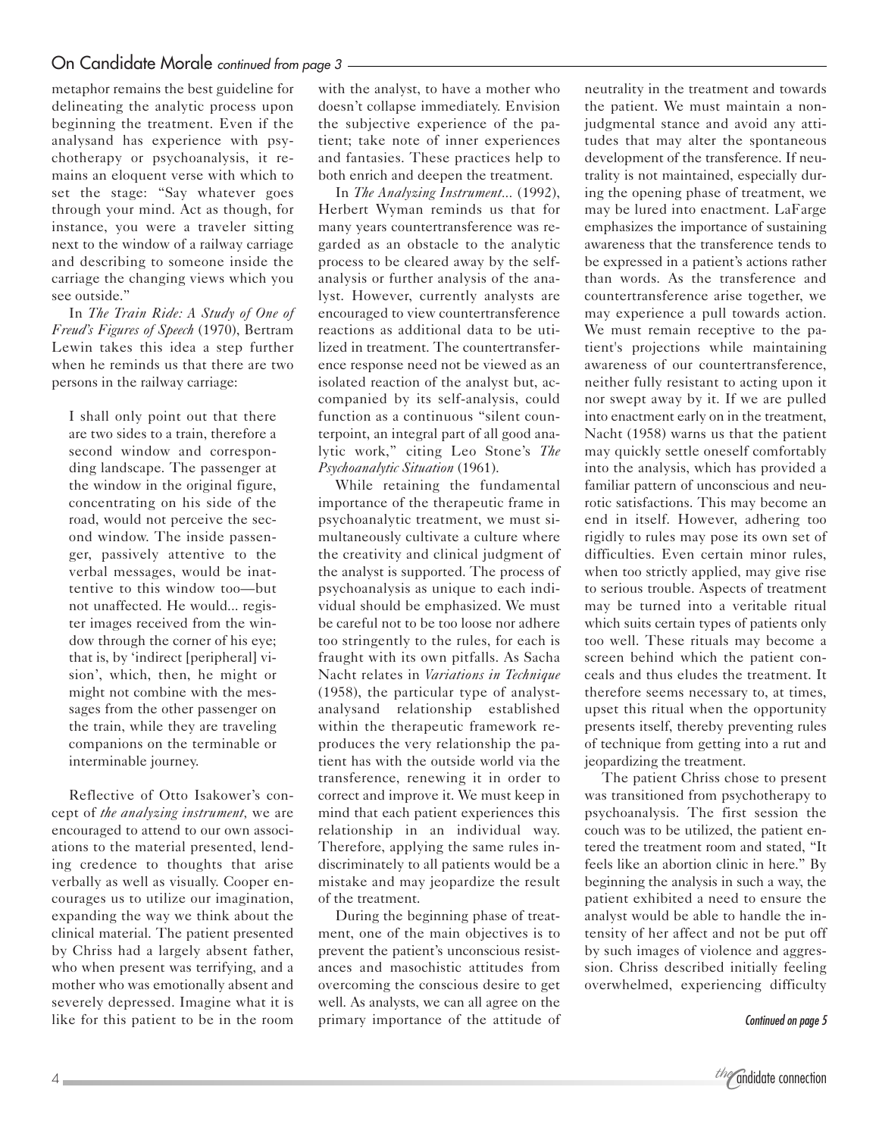metaphor remains the best guideline for delineating the analytic process upon beginning the treatment. Even if the analysand has experience with psychotherapy or psychoanalysis, it remains an eloquent verse with which to set the stage: "Say whatever goes through your mind. Act as though, for instance, you were a traveler sitting next to the window of a railway carriage and describing to someone inside the carriage the changing views which you see outside."

In *The Train Ride: A Study of One of Freud's Figures of Speech* (1970), Bertram Lewin takes this idea a step further when he reminds us that there are two persons in the railway carriage:

I shall only point out that there are two sides to a train, therefore a second window and corresponding landscape. The passenger at the window in the original figure, concentrating on his side of the road, would not perceive the second window. The inside passenger, passively attentive to the verbal messages, would be inattentive to this window too—but not unaffected. He would... register images received from the window through the corner of his eye; that is, by 'indirect [peripheral] vision', which, then, he might or might not combine with the messages from the other passenger on the train, while they are traveling companions on the terminable or interminable journey.

Reflective of Otto Isakower's concept of *the analyzing instrument,* we are encouraged to attend to our own associations to the material presented, lending credence to thoughts that arise verbally as well as visually. Cooper encourages us to utilize our imagination, expanding the way we think about the clinical material. The patient presented by Chriss had a largely absent father, who when present was terrifying, and a mother who was emotionally absent and severely depressed. Imagine what it is like for this patient to be in the room

with the analyst, to have a mother who doesn't collapse immediately. Envision the subjective experience of the patient; take note of inner experiences and fantasies. These practices help to both enrich and deepen the treatment.

In *The Analyzing Instrument...* (1992), Herbert Wyman reminds us that for many years countertransference was regarded as an obstacle to the analytic process to be cleared away by the selfanalysis or further analysis of the analyst. However, currently analysts are encouraged to view countertransference reactions as additional data to be utilized in treatment. The countertransference response need not be viewed as an isolated reaction of the analyst but, accompanied by its self-analysis, could function as a continuous "silent counterpoint, an integral part of all good analytic work," citing Leo Stone's *The Psychoanalytic Situation* (1961).

While retaining the fundamental importance of the therapeutic frame in psychoanalytic treatment, we must simultaneously cultivate a culture where the creativity and clinical judgment of the analyst is supported. The process of psychoanalysis as unique to each individual should be emphasized. We must be careful not to be too loose nor adhere too stringently to the rules, for each is fraught with its own pitfalls. As Sacha Nacht relates in *Variations in Technique* (1958), the particular type of analystanalysand relationship established within the therapeutic framework reproduces the very relationship the patient has with the outside world via the transference, renewing it in order to correct and improve it. We must keep in mind that each patient experiences this relationship in an individual way. Therefore, applying the same rules indiscriminately to all patients would be a mistake and may jeopardize the result of the treatment.

During the beginning phase of treatment, one of the main objectives is to prevent the patient's unconscious resistances and masochistic attitudes from overcoming the conscious desire to get well. As analysts, we can all agree on the primary importance of the attitude of neutrality in the treatment and towards the patient. We must maintain a nonjudgmental stance and avoid any attitudes that may alter the spontaneous development of the transference. If neutrality is not maintained, especially during the opening phase of treatment, we may be lured into enactment. LaFarge emphasizes the importance of sustaining awareness that the transference tends to be expressed in a patient's actions rather than words. As the transference and countertransference arise together, we may experience a pull towards action. We must remain receptive to the patient's projections while maintaining awareness of our countertransference, neither fully resistant to acting upon it nor swept away by it. If we are pulled into enactment early on in the treatment, Nacht (1958) warns us that the patient may quickly settle oneself comfortably into the analysis, which has provided a familiar pattern of unconscious and neurotic satisfactions. This may become an end in itself. However, adhering too rigidly to rules may pose its own set of difficulties. Even certain minor rules, when too strictly applied, may give rise to serious trouble. Aspects of treatment may be turned into a veritable ritual which suits certain types of patients only too well. These rituals may become a screen behind which the patient conceals and thus eludes the treatment. It therefore seems necessary to, at times, upset this ritual when the opportunity presents itself, thereby preventing rules of technique from getting into a rut and jeopardizing the treatment.

The patient Chriss chose to present was transitioned from psychotherapy to psychoanalysis. The first session the couch was to be utilized, the patient entered the treatment room and stated, "It feels like an abortion clinic in here." By beginning the analysis in such a way, the patient exhibited a need to ensure the analyst would be able to handle the intensity of her affect and not be put off by such images of violence and aggression. Chriss described initially feeling overwhelmed, experiencing difficulty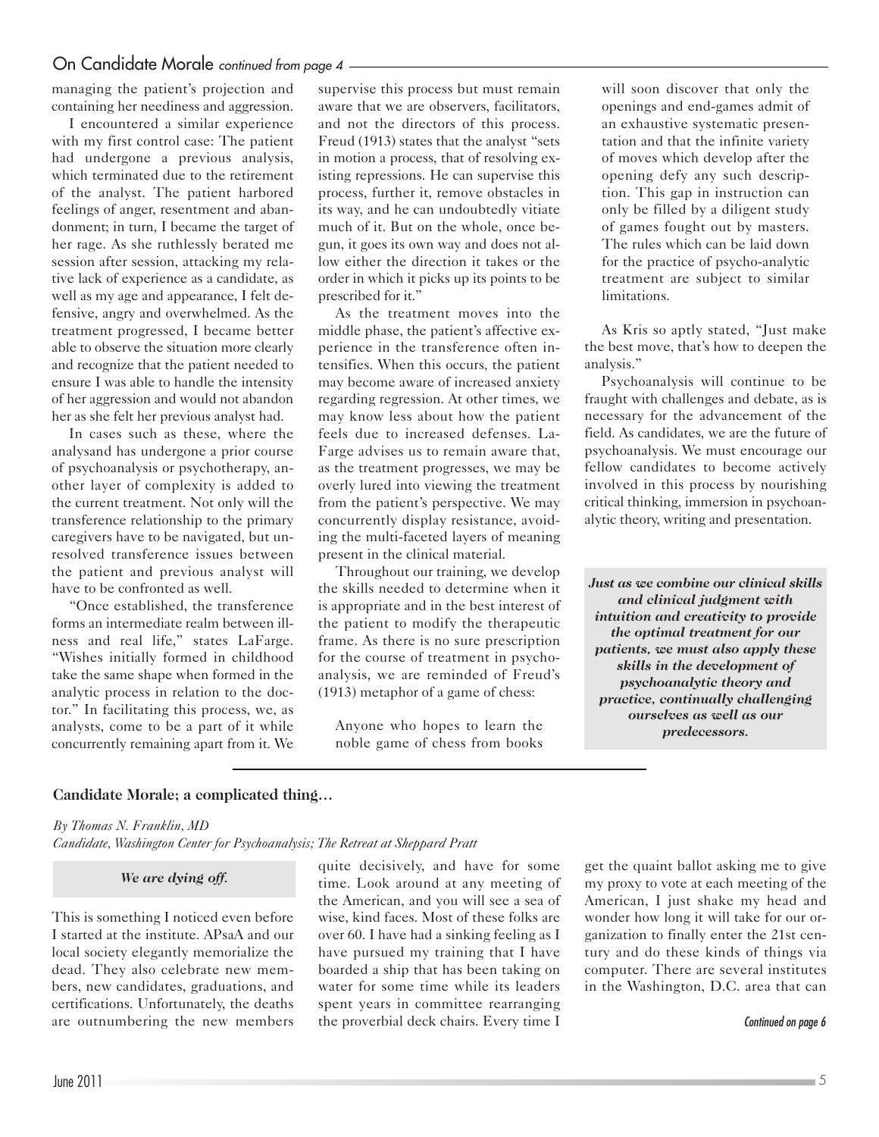### On Candidate Morale continued from page 4 -

managing the patient's projection and containing her neediness and aggression.

I encountered a similar experience with my first control case: The patient had undergone a previous analysis, which terminated due to the retirement of the analyst. The patient harbored feelings of anger, resentment and abandonment; in turn, I became the target of her rage. As she ruthlessly berated me session after session, attacking my relative lack of experience as a candidate, as well as my age and appearance, I felt defensive, angry and overwhelmed. As the treatment progressed, I became better able to observe the situation more clearly and recognize that the patient needed to ensure I was able to handle the intensity of her aggression and would not abandon her as she felt her previous analyst had.

In cases such as these, where the analysand has undergone a prior course of psychoanalysis or psychotherapy, another layer of complexity is added to the current treatment. Not only will the transference relationship to the primary caregivers have to be navigated, but unresolved transference issues between the patient and previous analyst will have to be confronted as well.

"Once established, the transference forms an intermediate realm between illness and real life," states LaFarge. "Wishes initially formed in childhood take the same shape when formed in the analytic process in relation to the doctor." In facilitating this process, we, as analysts, come to be a part of it while concurrently remaining apart from it. We

supervise this process but must remain aware that we are observers, facilitators, and not the directors of this process. Freud (1913) states that the analyst "sets in motion a process, that of resolving existing repressions. He can supervise this process, further it, remove obstacles in its way, and he can undoubtedly vitiate much of it. But on the whole, once begun, it goes its own way and does not allow either the direction it takes or the order in which it picks up its points to be prescribed for it."

As the treatment moves into the middle phase, the patient's affective experience in the transference often intensifies. When this occurs, the patient may become aware of increased anxiety regarding regression. At other times, we may know less about how the patient feels due to increased defenses. La-Farge advises us to remain aware that, as the treatment progresses, we may be overly lured into viewing the treatment from the patient's perspective. We may concurrently display resistance, avoiding the multi-faceted layers of meaning present in the clinical material.

Throughout our training, we develop the skills needed to determine when it is appropriate and in the best interest of the patient to modify the therapeutic frame. As there is no sure prescription for the course of treatment in psychoanalysis, we are reminded of Freud's (1913) metaphor of a game of chess:

Anyone who hopes to learn the noble game of chess from books

will soon discover that only the openings and end-games admit of an exhaustive systematic presentation and that the infinite variety of moves which develop after the opening defy any such description. This gap in instruction can only be filled by a diligent study of games fought out by masters. The rules which can be laid down for the practice of psycho-analytic treatment are subject to similar limitations.

As Kris so aptly stated, "Just make the best move, that's how to deepen the analysis."

Psychoanalysis will continue to be fraught with challenges and debate, as is necessary for the advancement of the field. As candidates, we are the future of psychoanalysis. We must encourage our fellow candidates to become actively involved in this process by nourishing critical thinking, immersion in psychoanalytic theory, writing and presentation.

*Just as we combine our clinical skills and clinical judgment with intuition and creativity to provide the optimal treatment for our patients, we must also apply these skills in the development of psychoanalytic theory and practice, continually challenging ourselves as well as our predecessors.*

### **Candidate Morale; a complicated thing…**

#### *By Thomas N. Franklin, MD*

*Candidate, Washington Center for Psychoanalysis; The Retreat at Sheppard Pratt*

#### *We are dying off.*

This is something I noticed even before I started at the institute. APsaA and our local society elegantly memorialize the dead. They also celebrate new members, new candidates, graduations, and certifications. Unfortunately, the deaths are outnumbering the new members

quite decisively, and have for some time. Look around at any meeting of the American, and you will see a sea of wise, kind faces. Most of these folks are over 60. I have had a sinking feeling as I have pursued my training that I have boarded a ship that has been taking on water for some time while its leaders spent years in committee rearranging the proverbial deck chairs. Every time I

get the quaint ballot asking me to give my proxy to vote at each meeting of the American, I just shake my head and wonder how long it will take for our organization to finally enter the 21st century and do these kinds of things via computer. There are several institutes in the Washington, D.C. area that can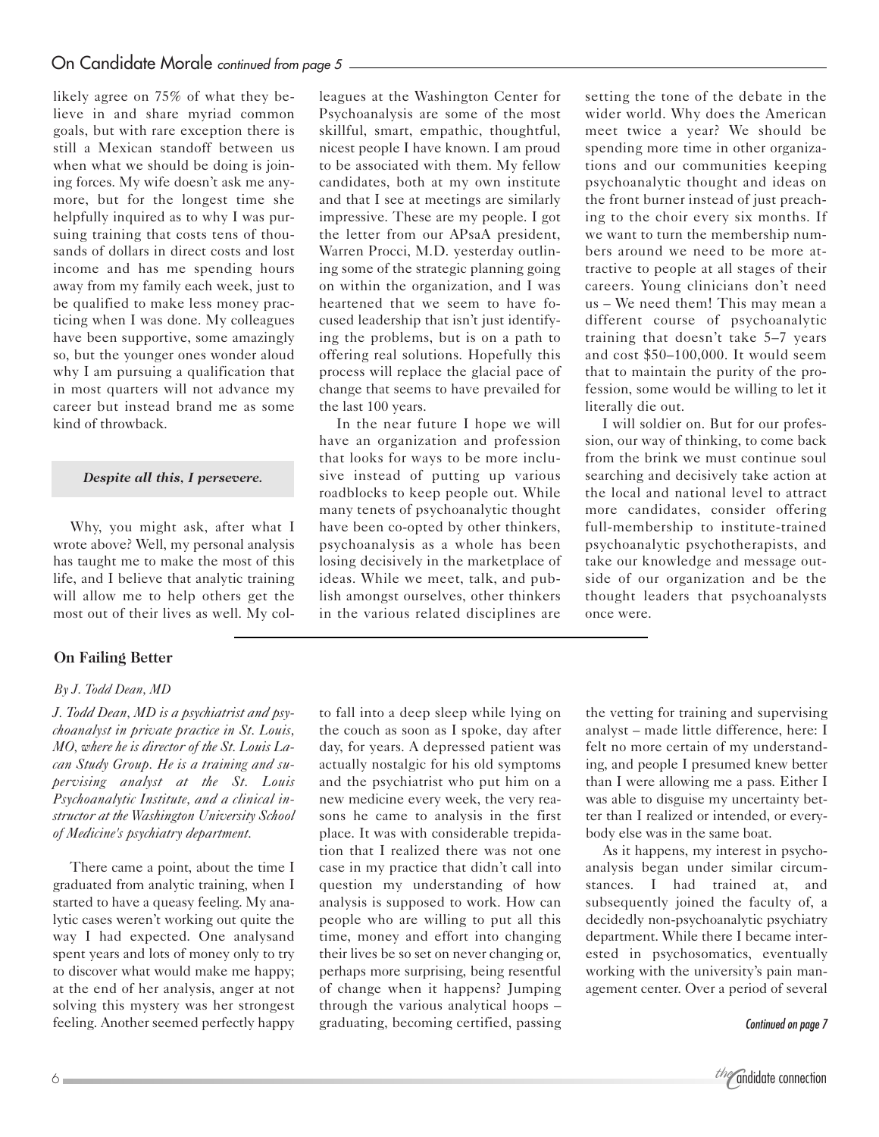likely agree on 75% of what they believe in and share myriad common goals, but with rare exception there is still a Mexican standoff between us when what we should be doing is joining forces. My wife doesn't ask me anymore, but for the longest time she helpfully inquired as to why I was pursuing training that costs tens of thousands of dollars in direct costs and lost income and has me spending hours away from my family each week, just to be qualified to make less money practicing when I was done. My colleagues have been supportive, some amazingly so, but the younger ones wonder aloud why I am pursuing a qualification that in most quarters will not advance my career but instead brand me as some kind of throwback.

### *Despite all this, I persevere.*

Why, you might ask, after what I wrote above? Well, my personal analysis has taught me to make the most of this life, and I believe that analytic training will allow me to help others get the most out of their lives as well. My col-

### **On Failing Better**

### *By J. Todd Dean, MD*

*J. Todd Dean, MD is a psychiatrist and psychoanalyst in private practice in St. Louis, MO, where he is director of the St. Louis Lacan Study Group. He is a training and supervising analyst at the St. Louis Psychoanalytic Institute, and a clinical instructor at the Washington University School of Medicine's psychiatry department.* 

There came a point, about the time I graduated from analytic training, when I started to have a queasy feeling. My analytic cases weren't working out quite the way I had expected. One analysand spent years and lots of money only to try to discover what would make me happy; at the end of her analysis, anger at not solving this mystery was her strongest feeling. Another seemed perfectly happy leagues at the Washington Center for Psychoanalysis are some of the most skillful, smart, empathic, thoughtful, nicest people I have known. I am proud to be associated with them. My fellow candidates, both at my own institute and that I see at meetings are similarly impressive. These are my people. I got the letter from our APsaA president, Warren Procci, M.D. yesterday outlining some of the strategic planning going on within the organization, and I was heartened that we seem to have focused leadership that isn't just identifying the problems, but is on a path to offering real solutions. Hopefully this process will replace the glacial pace of change that seems to have prevailed for the last 100 years.

In the near future I hope we will have an organization and profession that looks for ways to be more inclusive instead of putting up various roadblocks to keep people out. While many tenets of psychoanalytic thought have been co-opted by other thinkers, psychoanalysis as a whole has been losing decisively in the marketplace of ideas. While we meet, talk, and publish amongst ourselves, other thinkers in the various related disciplines are

to fall into a deep sleep while lying on the couch as soon as I spoke, day after day, for years. A depressed patient was actually nostalgic for his old symptoms and the psychiatrist who put him on a new medicine every week, the very reasons he came to analysis in the first place. It was with considerable trepidation that I realized there was not one case in my practice that didn't call into question my understanding of how analysis is supposed to work. How can people who are willing to put all this time, money and effort into changing their lives be so set on never changing or, perhaps more surprising, being resentful of change when it happens? Jumping through the various analytical hoops – graduating, becoming certified, passing setting the tone of the debate in the wider world. Why does the American meet twice a year? We should be spending more time in other organizations and our communities keeping psychoanalytic thought and ideas on the front burner instead of just preaching to the choir every six months. If we want to turn the membership numbers around we need to be more attractive to people at all stages of their careers. Young clinicians don't need us – We need them! This may mean a different course of psychoanalytic training that doesn't take 5–7 years and cost \$50–100,000. It would seem that to maintain the purity of the profession, some would be willing to let it literally die out.

I will soldier on. But for our profession, our way of thinking, to come back from the brink we must continue soul searching and decisively take action at the local and national level to attract more candidates, consider offering full-membership to institute-trained psychoanalytic psychotherapists, and take our knowledge and message outside of our organization and be the thought leaders that psychoanalysts once were.

the vetting for training and supervising analyst – made little difference, here: I felt no more certain of my understanding, and people I presumed knew better than I were allowing me a pass. Either I was able to disguise my uncertainty better than I realized or intended, or everybody else was in the same boat.

As it happens, my interest in psychoanalysis began under similar circumstances. I had trained at, and subsequently joined the faculty of, a decidedly non-psychoanalytic psychiatry department. While there I became interested in psychosomatics, eventually working with the university's pain management center. Over a period of several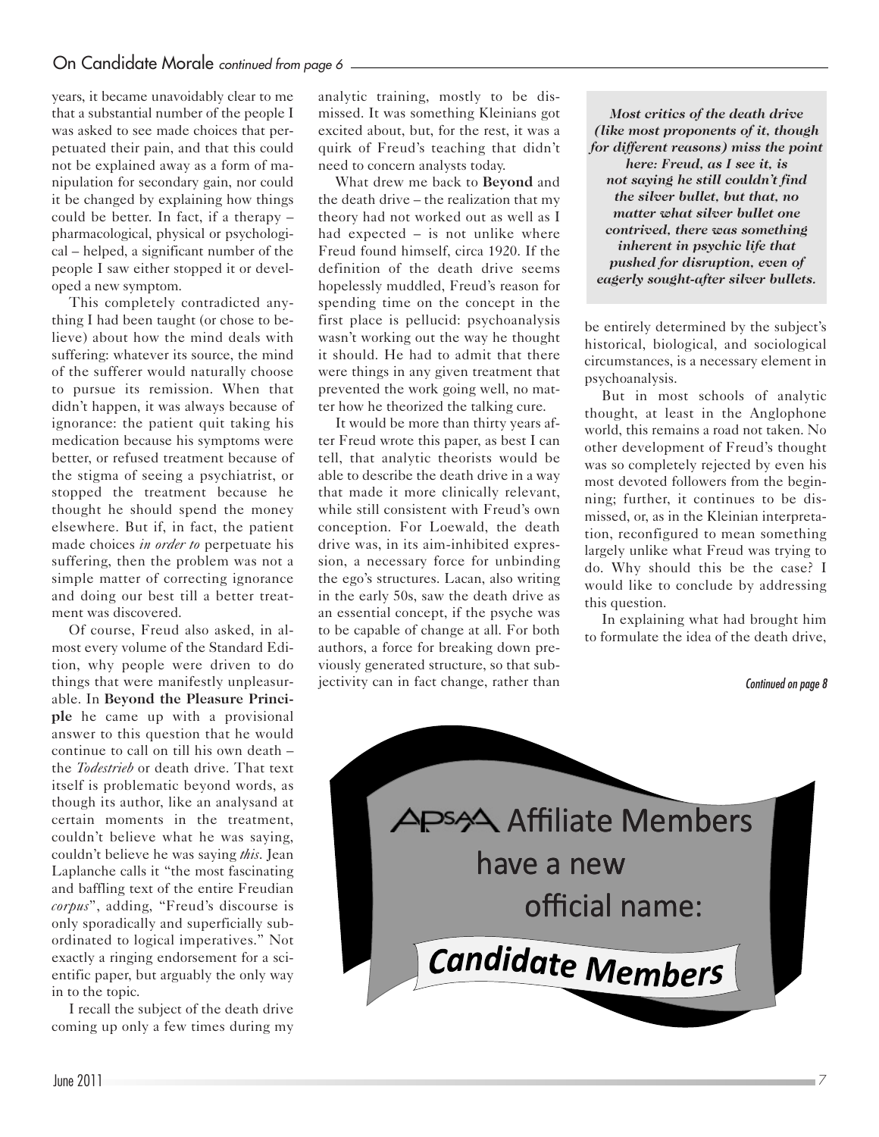years, it became unavoidably clear to me that a substantial number of the people I was asked to see made choices that perpetuated their pain, and that this could not be explained away as a form of manipulation for secondary gain, nor could it be changed by explaining how things could be better. In fact, if a therapy – pharmacological, physical or psychological – helped, a significant number of the people I saw either stopped it or developed a new symptom.

This completely contradicted anything I had been taught (or chose to believe) about how the mind deals with suffering: whatever its source, the mind of the sufferer would naturally choose to pursue its remission. When that didn't happen, it was always because of ignorance: the patient quit taking his medication because his symptoms were better, or refused treatment because of the stigma of seeing a psychiatrist, or stopped the treatment because he thought he should spend the money elsewhere. But if, in fact, the patient made choices *in order to* perpetuate his suffering, then the problem was not a simple matter of correcting ignorance and doing our best till a better treatment was discovered.

Of course, Freud also asked, in almost every volume of the Standard Edition, why people were driven to do things that were manifestly unpleasurable. In **Beyond the Pleasure Principle** he came up with a provisional answer to this question that he would continue to call on till his own death – the *Todestrieb* or death drive. That text itself is problematic beyond words, as though its author, like an analysand at certain moments in the treatment, couldn't believe what he was saying, couldn't believe he was saying *this*. Jean Laplanche calls it "the most fascinating and baffling text of the entire Freudian *corpus*", adding, "Freud's discourse is only sporadically and superficially subordinated to logical imperatives." Not exactly a ringing endorsement for a scientific paper, but arguably the only way in to the topic.

I recall the subject of the death drive coming up only a few times during my analytic training, mostly to be dismissed. It was something Kleinians got excited about, but, for the rest, it was a quirk of Freud's teaching that didn't need to concern analysts today.

What drew me back to **Beyond** and the death drive – the realization that my theory had not worked out as well as I had expected – is not unlike where Freud found himself, circa 1920. If the definition of the death drive seems hopelessly muddled, Freud's reason for spending time on the concept in the first place is pellucid: psychoanalysis wasn't working out the way he thought it should. He had to admit that there were things in any given treatment that prevented the work going well, no matter how he theorized the talking cure.

It would be more than thirty years after Freud wrote this paper, as best I can tell, that analytic theorists would be able to describe the death drive in a way that made it more clinically relevant, while still consistent with Freud's own conception. For Loewald, the death drive was, in its aim-inhibited expression, a necessary force for unbinding the ego's structures. Lacan, also writing in the early 50s, saw the death drive as an essential concept, if the psyche was to be capable of change at all. For both authors, a force for breaking down previously generated structure, so that subjectivity can in fact change, rather than

*Most critics of the death drive (like most proponents of it, though for different reasons) miss the point here: Freud, as I see it, is not saying he still couldn't find the silver bullet, but that, no matter what silver bullet one contrived, there was something inherent in psychic life that pushed for disruption, even of eagerly sought-after silver bullets.*

be entirely determined by the subject's historical, biological, and sociological circumstances, is a necessary element in psychoanalysis.

But in most schools of analytic thought, at least in the Anglophone world, this remains a road not taken. No other development of Freud's thought was so completely rejected by even his most devoted followers from the beginning; further, it continues to be dismissed, or, as in the Kleinian interpretation, reconfigured to mean something largely unlike what Freud was trying to do. Why should this be the case? I would like to conclude by addressing this question.

In explaining what had brought him to formulate the idea of the death drive,

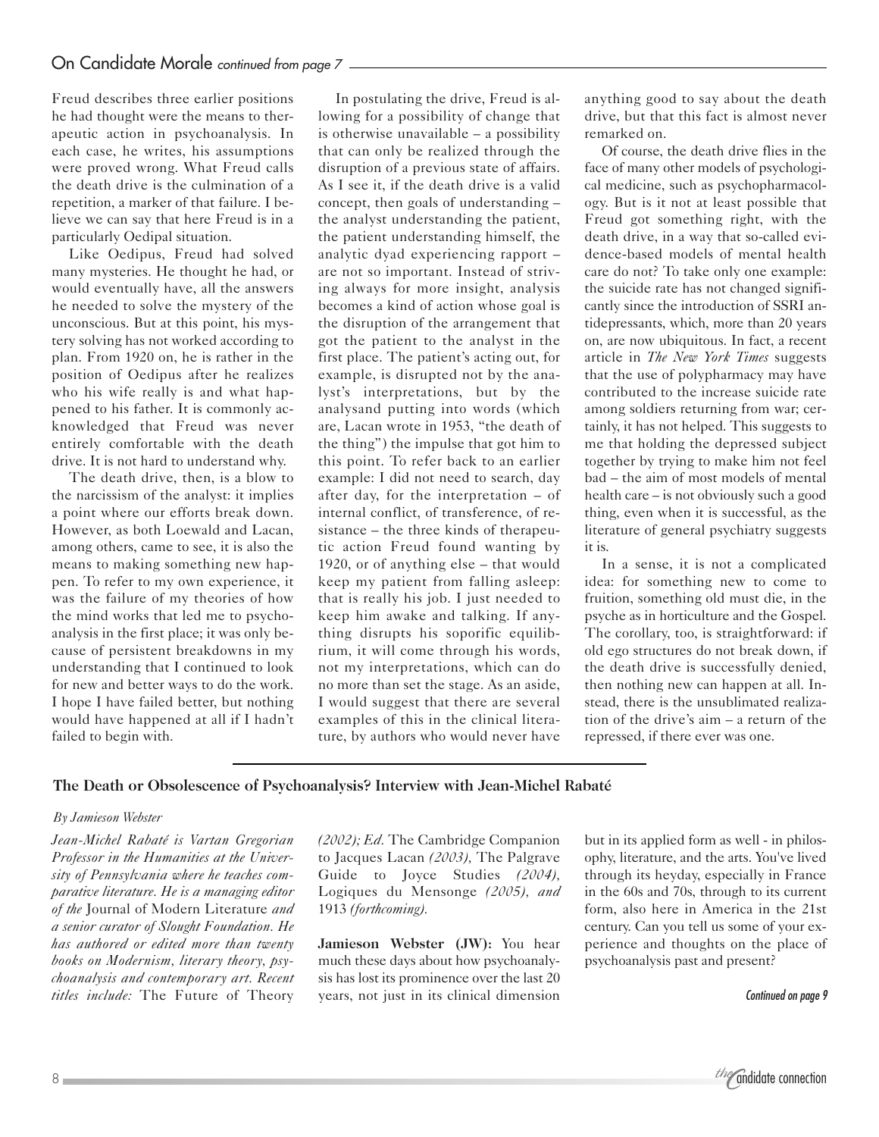Freud describes three earlier positions he had thought were the means to therapeutic action in psychoanalysis. In each case, he writes, his assumptions were proved wrong. What Freud calls the death drive is the culmination of a repetition, a marker of that failure. I believe we can say that here Freud is in a particularly Oedipal situation.

Like Oedipus, Freud had solved many mysteries. He thought he had, or would eventually have, all the answers he needed to solve the mystery of the unconscious. But at this point, his mystery solving has not worked according to plan. From 1920 on, he is rather in the position of Oedipus after he realizes who his wife really is and what happened to his father. It is commonly acknowledged that Freud was never entirely comfortable with the death drive. It is not hard to understand why.

The death drive, then, is a blow to the narcissism of the analyst: it implies a point where our efforts break down. However, as both Loewald and Lacan, among others, came to see, it is also the means to making something new happen. To refer to my own experience, it was the failure of my theories of how the mind works that led me to psychoanalysis in the first place; it was only because of persistent breakdowns in my understanding that I continued to look for new and better ways to do the work. I hope I have failed better, but nothing would have happened at all if I hadn't failed to begin with.

In postulating the drive, Freud is allowing for a possibility of change that is otherwise unavailable – a possibility that can only be realized through the disruption of a previous state of affairs. As I see it, if the death drive is a valid concept, then goals of understanding – the analyst understanding the patient, the patient understanding himself, the analytic dyad experiencing rapport – are not so important. Instead of striving always for more insight, analysis becomes a kind of action whose goal is the disruption of the arrangement that got the patient to the analyst in the first place. The patient's acting out, for example, is disrupted not by the analyst's interpretations, but by the analysand putting into words (which are, Lacan wrote in 1953, "the death of the thing") the impulse that got him to this point. To refer back to an earlier example: I did not need to search, day after day, for the interpretation – of internal conflict, of transference, of resistance – the three kinds of therapeutic action Freud found wanting by 1920, or of anything else – that would keep my patient from falling asleep: that is really his job. I just needed to keep him awake and talking. If anything disrupts his soporific equilibrium, it will come through his words, not my interpretations, which can do no more than set the stage. As an aside, I would suggest that there are several examples of this in the clinical literature, by authors who would never have

anything good to say about the death drive, but that this fact is almost never remarked on.

Of course, the death drive flies in the face of many other models of psychological medicine, such as psychopharmacology. But is it not at least possible that Freud got something right, with the death drive, in a way that so-called evidence-based models of mental health care do not? To take only one example: the suicide rate has not changed significantly since the introduction of SSRI antidepressants, which, more than 20 years on, are now ubiquitous. In fact, a recent article in *The New York Times* suggests that the use of polypharmacy may have contributed to the increase suicide rate among soldiers returning from war; certainly, it has not helped. This suggests to me that holding the depressed subject together by trying to make him not feel bad – the aim of most models of mental health care – is not obviously such a good thing, even when it is successful, as the literature of general psychiatry suggests it is.

In a sense, it is not a complicated idea: for something new to come to fruition, something old must die, in the psyche as in horticulture and the Gospel. The corollary, too, is straightforward: if old ego structures do not break down, if the death drive is successfully denied, then nothing new can happen at all. Instead, there is the unsublimated realization of the drive's aim – a return of the repressed, if there ever was one.

### **The Death or Obsolescence of Psychoanalysis? Interview with Jean-Michel Rabaté**

### *By Jamieson Webster*

*Jean-Michel Rabaté is Vartan Gregorian Professor in the Humanities at the University of Pennsylvania where he teaches comparative literature. He is a managing editor of the* Journal of Modern Literature *and a senior curator of Slought Foundation. He has authored or edited more than twenty books on Modernism, literary theory, psychoanalysis and contemporary art. Recent titles include:* The Future of Theory

*(2002); Ed.* The Cambridge Companion to Jacques Lacan *(2003),* The Palgrave Guide to Joyce Studies *(2004),* Logiques du Mensonge *(2005), and* 1913 *(forthcoming).*

**Jamieson Webster (JW):** You hear much these days about how psychoanalysis has lost its prominence over the last 20 years, not just in its clinical dimension

but in its applied form as well - in philosophy, literature, and the arts. You've lived through its heyday, especially in France in the 60s and 70s, through to its current form, also here in America in the 21st century. Can you tell us some of your experience and thoughts on the place of psychoanalysis past and present?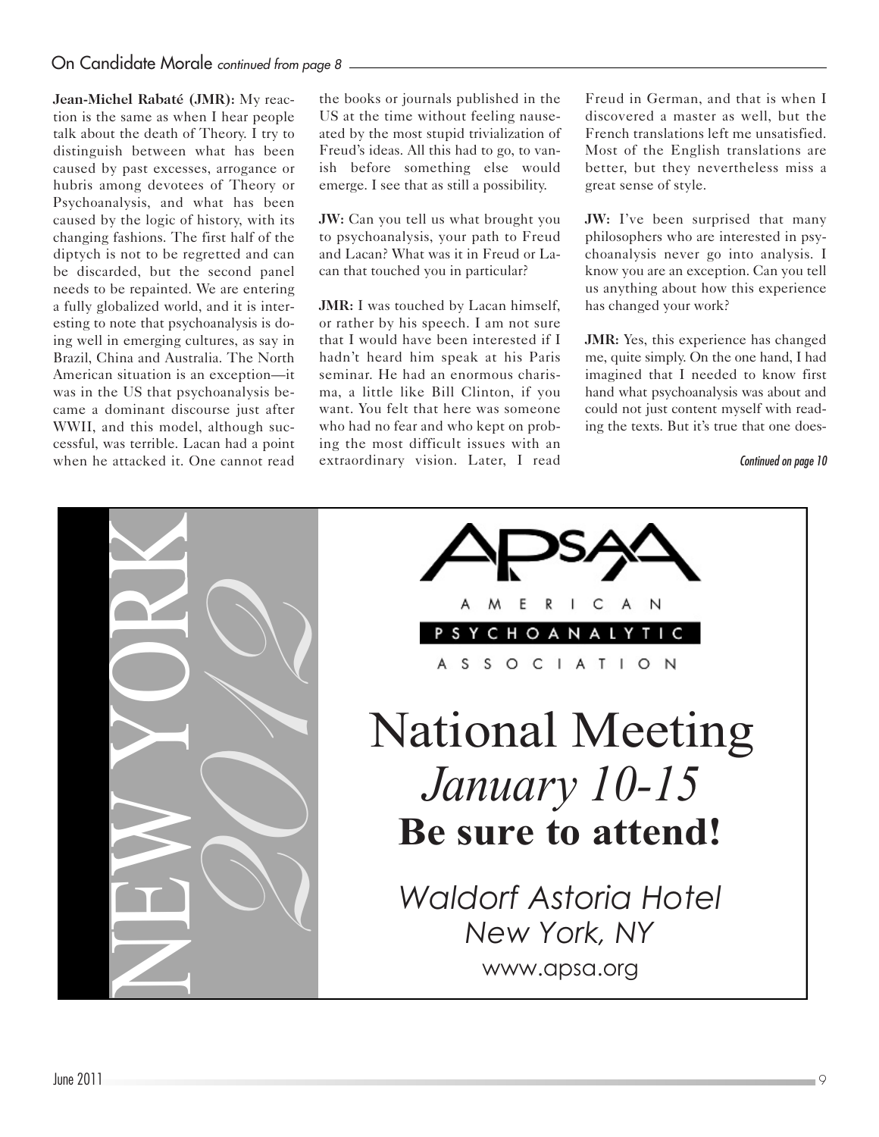## On Candidate Morale continued from page 8

**Jean-Michel Rabaté (JMR):** My reaction is the same as when I hear people talk about the death of Theory. I try to distinguish between what has been caused by past excesses, arrogance or hubris among devotees of Theory or Psychoanalysis, and what has been caused by the logic of history, with its changing fashions. The first half of the diptych is not to be regretted and can be discarded, but the second panel needs to be repainted. We are entering a fully globalized world, and it is interesting to note that psychoanalysis is doing well in emerging cultures, as say in Brazil, China and Australia. The North American situation is an exception—it was in the US that psychoanalysis became a dominant discourse just after WWII, and this model, although successful, was terrible. Lacan had a point when he attacked it. One cannot read

the books or journals published in the US at the time without feeling nauseated by the most stupid trivialization of Freud's ideas. All this had to go, to vanish before something else would emerge. I see that as still a possibility.

**JW:** Can you tell us what brought you to psychoanalysis, your path to Freud and Lacan? What was it in Freud or Lacan that touched you in particular?

**JMR:** I was touched by Lacan himself, or rather by his speech. I am not sure that I would have been interested if I hadn't heard him speak at his Paris seminar. He had an enormous charisma, a little like Bill Clinton, if you want. You felt that here was someone who had no fear and who kept on probing the most difficult issues with an extraordinary vision. Later, I read

Freud in German, and that is when I discovered a master as well, but the French translations left me unsatisfied. Most of the English translations are better, but they nevertheless miss a great sense of style.

**JW:** I've been surprised that many philosophers who are interested in psychoanalysis never go into analysis. I know you are an exception. Can you tell us anything about how this experience has changed your work?

**JMR:** Yes, this experience has changed me, quite simply. On the one hand, I had imagined that I needed to know first hand what psychoanalysis was about and could not just content myself with reading the texts. But it's true that one does-

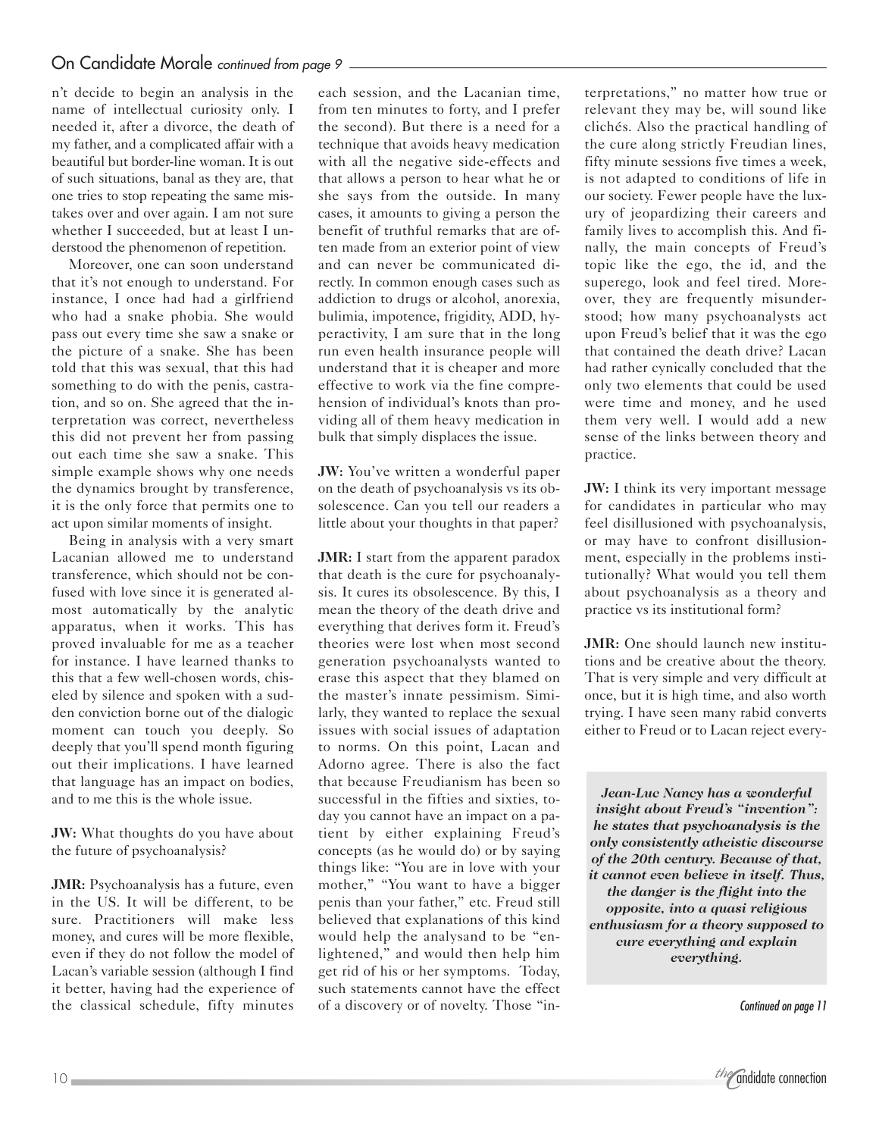n't decide to begin an analysis in the name of intellectual curiosity only. I needed it, after a divorce, the death of my father, and a complicated affair with a beautiful but border-line woman. It is out of such situations, banal as they are, that one tries to stop repeating the same mistakes over and over again. I am not sure whether I succeeded, but at least I understood the phenomenon of repetition.

Moreover, one can soon understand that it's not enough to understand. For instance, I once had had a girlfriend who had a snake phobia. She would pass out every time she saw a snake or the picture of a snake. She has been told that this was sexual, that this had something to do with the penis, castration, and so on. She agreed that the interpretation was correct, nevertheless this did not prevent her from passing out each time she saw a snake. This simple example shows why one needs the dynamics brought by transference, it is the only force that permits one to act upon similar moments of insight.

Being in analysis with a very smart Lacanian allowed me to understand transference, which should not be confused with love since it is generated almost automatically by the analytic apparatus, when it works. This has proved invaluable for me as a teacher for instance. I have learned thanks to this that a few well-chosen words, chiseled by silence and spoken with a sudden conviction borne out of the dialogic moment can touch you deeply. So deeply that you'll spend month figuring out their implications. I have learned that language has an impact on bodies, and to me this is the whole issue.

**JW:** What thoughts do you have about the future of psychoanalysis?

**JMR:** Psychoanalysis has a future, even in the US. It will be different, to be sure. Practitioners will make less money, and cures will be more flexible, even if they do not follow the model of Lacan's variable session (although I find it better, having had the experience of the classical schedule, fifty minutes

each session, and the Lacanian time, from ten minutes to forty, and I prefer the second). But there is a need for a technique that avoids heavy medication with all the negative side-effects and that allows a person to hear what he or she says from the outside. In many cases, it amounts to giving a person the benefit of truthful remarks that are often made from an exterior point of view and can never be communicated directly. In common enough cases such as addiction to drugs or alcohol, anorexia, bulimia, impotence, frigidity, ADD, hyperactivity, I am sure that in the long run even health insurance people will understand that it is cheaper and more effective to work via the fine comprehension of individual's knots than providing all of them heavy medication in bulk that simply displaces the issue.

**JW:** You've written a wonderful paper on the death of psychoanalysis vs its obsolescence. Can you tell our readers a little about your thoughts in that paper?

**JMR:** I start from the apparent paradox that death is the cure for psychoanalysis. It cures its obsolescence. By this, I mean the theory of the death drive and everything that derives form it. Freud's theories were lost when most second generation psychoanalysts wanted to erase this aspect that they blamed on the master's innate pessimism. Similarly, they wanted to replace the sexual issues with social issues of adaptation to norms. On this point, Lacan and Adorno agree. There is also the fact that because Freudianism has been so successful in the fifties and sixties, today you cannot have an impact on a patient by either explaining Freud's concepts (as he would do) or by saying things like: "You are in love with your mother," "You want to have a bigger penis than your father," etc. Freud still believed that explanations of this kind would help the analysand to be "enlightened," and would then help him get rid of his or her symptoms. Today, such statements cannot have the effect of a discovery or of novelty. Those "interpretations," no matter how true or relevant they may be, will sound like clichés. Also the practical handling of the cure along strictly Freudian lines, fifty minute sessions five times a week, is not adapted to conditions of life in our society. Fewer people have the luxury of jeopardizing their careers and family lives to accomplish this. And finally, the main concepts of Freud's topic like the ego, the id, and the superego, look and feel tired. Moreover, they are frequently misunderstood; how many psychoanalysts act upon Freud's belief that it was the ego that contained the death drive? Lacan had rather cynically concluded that the only two elements that could be used were time and money, and he used them very well. I would add a new sense of the links between theory and practice.

**JW:** I think its very important message for candidates in particular who may feel disillusioned with psychoanalysis, or may have to confront disillusionment, especially in the problems institutionally? What would you tell them about psychoanalysis as a theory and practice vs its institutional form?

**JMR:** One should launch new institutions and be creative about the theory. That is very simple and very difficult at once, but it is high time, and also worth trying. I have seen many rabid converts either to Freud or to Lacan reject every-

*Jean-Luc Nancy has a wonderful insight about Freud's "invention": he states that psychoanalysis is the only consistently atheistic discourse of the 20th century. Because of that, it cannot even believe in itself. Thus, the danger is the flight into the opposite, into a quasi religious enthusiasm for a theory supposed to cure everything and explain everything.*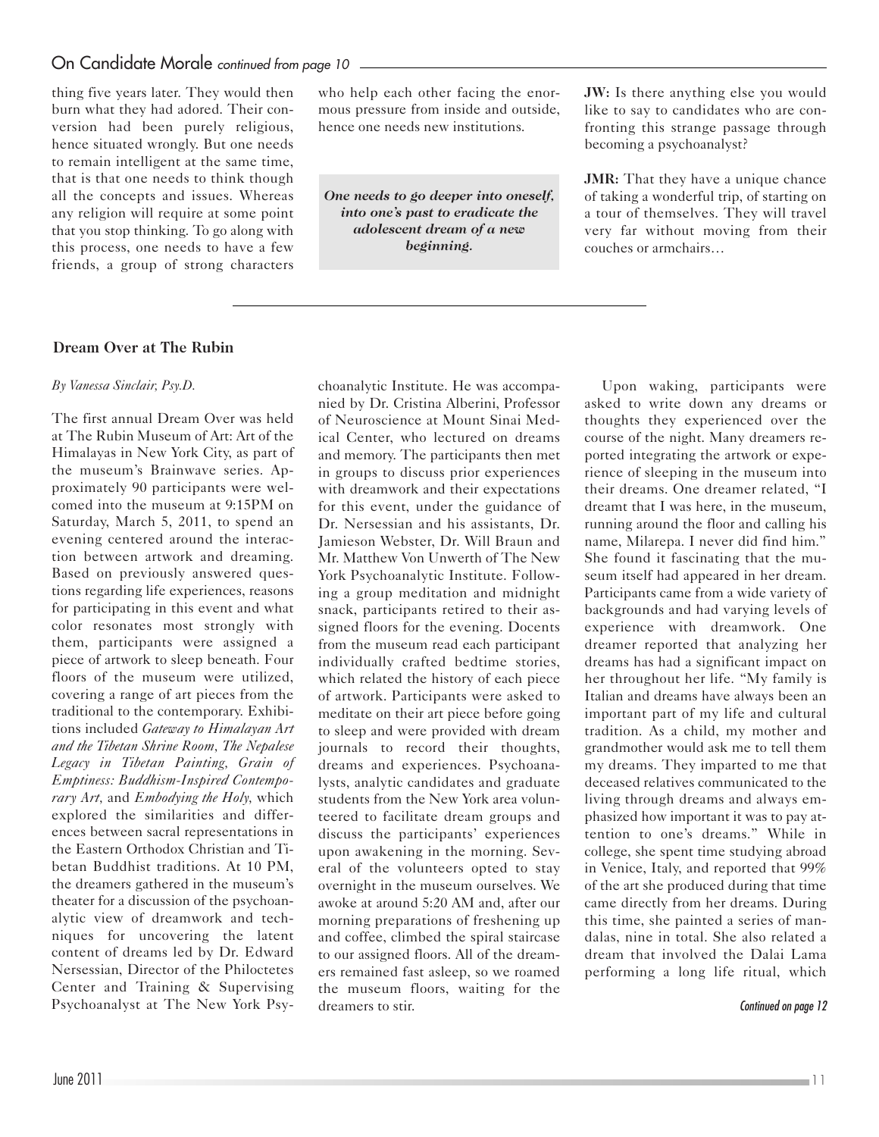### On Candidate Morale continued from page 10 -

thing five years later. They would then burn what they had adored. Their conversion had been purely religious, hence situated wrongly. But one needs to remain intelligent at the same time, that is that one needs to think though all the concepts and issues. Whereas any religion will require at some point that you stop thinking. To go along with this process, one needs to have a few friends, a group of strong characters

who help each other facing the enormous pressure from inside and outside, hence one needs new institutions.

*One needs to go deeper into oneself, into one's past to eradicate the adolescent dream of a new beginning.*

**JW:** Is there anything else you would like to say to candidates who are confronting this strange passage through becoming a psychoanalyst?

**JMR:** That they have a unique chance of taking a wonderful trip, of starting on a tour of themselves. They will travel very far without moving from their couches or armchairs…

### **Dream Over at The Rubin**

#### *By Vanessa Sinclair, Psy.D.*

The first annual Dream Over was held at The Rubin Museum of Art: Art of the Himalayas in New York City, as part of the museum's Brainwave series. Approximately 90 participants were welcomed into the museum at 9:15PM on Saturday, March 5, 2011, to spend an evening centered around the interaction between artwork and dreaming. Based on previously answered questions regarding life experiences, reasons for participating in this event and what color resonates most strongly with them, participants were assigned a piece of artwork to sleep beneath. Four floors of the museum were utilized, covering a range of art pieces from the traditional to the contemporary. Exhibitions included *Gateway to Himalayan Art and the Tibetan Shrine Room, The Nepalese Legacy in Tibetan Painting, Grain of Emptiness: Buddhism-Inspired Contemporary Art,* and *Embodying the Holy,* which explored the similarities and differences between sacral representations in the Eastern Orthodox Christian and Tibetan Buddhist traditions. At 10 PM, the dreamers gathered in the museum's theater for a discussion of the psychoanalytic view of dreamwork and techniques for uncovering the latent content of dreams led by Dr. Edward Nersessian, Director of the Philoctetes Center and Training & Supervising Psychoanalyst at The New York Psychoanalytic Institute. He was accompanied by Dr. Cristina Alberini, Professor of Neuroscience at Mount Sinai Medical Center, who lectured on dreams and memory. The participants then met in groups to discuss prior experiences with dreamwork and their expectations for this event, under the guidance of Dr. Nersessian and his assistants, Dr. Jamieson Webster, Dr. Will Braun and Mr. Matthew Von Unwerth of The New York Psychoanalytic Institute. Following a group meditation and midnight snack, participants retired to their assigned floors for the evening. Docents from the museum read each participant individually crafted bedtime stories, which related the history of each piece of artwork. Participants were asked to meditate on their art piece before going to sleep and were provided with dream journals to record their thoughts, dreams and experiences. Psychoanalysts, analytic candidates and graduate students from the New York area volunteered to facilitate dream groups and discuss the participants' experiences upon awakening in the morning. Several of the volunteers opted to stay overnight in the museum ourselves. We awoke at around 5:20 AM and, after our morning preparations of freshening up and coffee, climbed the spiral staircase to our assigned floors. All of the dreamers remained fast asleep, so we roamed the museum floors, waiting for the dreamers to stir.

Upon waking, participants were asked to write down any dreams or thoughts they experienced over the course of the night. Many dreamers reported integrating the artwork or experience of sleeping in the museum into their dreams. One dreamer related, "I dreamt that I was here, in the museum, running around the floor and calling his name, Milarepa. I never did find him." She found it fascinating that the museum itself had appeared in her dream. Participants came from a wide variety of backgrounds and had varying levels of experience with dreamwork. One dreamer reported that analyzing her dreams has had a significant impact on her throughout her life. "My family is Italian and dreams have always been an important part of my life and cultural tradition. As a child, my mother and grandmother would ask me to tell them my dreams. They imparted to me that deceased relatives communicated to the living through dreams and always emphasized how important it was to pay attention to one's dreams." While in college, she spent time studying abroad in Venice, Italy, and reported that 99% of the art she produced during that time came directly from her dreams. During this time, she painted a series of mandalas, nine in total. She also related a dream that involved the Dalai Lama performing a long life ritual, which